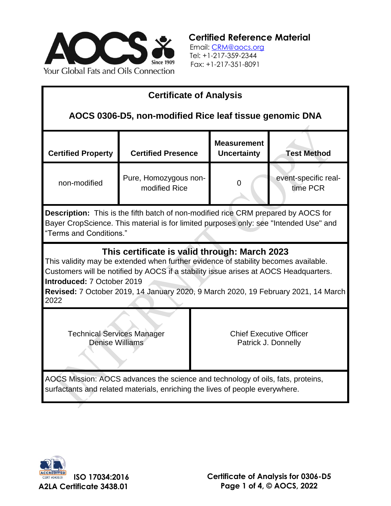

**Certified Reference Material**

 Email: [CRM@aocs.org](mailto:CRM@aocs.org) Tel: +1-217-359-2344 Fax: +1-217-351-8091

| <b>Certificate of Analysis</b>                                                                                                                                                                                                                                                                                                                           |                                        |                                                       |                                          |                                  |
|----------------------------------------------------------------------------------------------------------------------------------------------------------------------------------------------------------------------------------------------------------------------------------------------------------------------------------------------------------|----------------------------------------|-------------------------------------------------------|------------------------------------------|----------------------------------|
| AOCS 0306-D5, non-modified Rice leaf tissue genomic DNA                                                                                                                                                                                                                                                                                                  |                                        |                                                       |                                          |                                  |
| <b>Certified Property</b>                                                                                                                                                                                                                                                                                                                                | <b>Certified Presence</b>              |                                                       | <b>Measurement</b><br><b>Uncertainty</b> | <b>Test Method</b>               |
| non-modified                                                                                                                                                                                                                                                                                                                                             | Pure, Homozygous non-<br>modified Rice |                                                       | 0                                        | event-specific real-<br>time PCR |
| <b>Description:</b> This is the fifth batch of non-modified rice CRM prepared by AOCS for<br>Bayer CropScience. This material is for limited purposes only: see "Intended Use" and<br>"Terms and Conditions."                                                                                                                                            |                                        |                                                       |                                          |                                  |
| This certificate is valid through: March 2023<br>This validity may be extended when further evidence of stability becomes available.<br>Customers will be notified by AOCS if a stability issue arises at AOCS Headquarters.<br>Introduced: 7 October 2019<br>Revised: 7 October 2019, 14 January 2020, 9 March 2020, 19 February 2021, 14 March<br>2022 |                                        |                                                       |                                          |                                  |
| <b>Technical Services Manager</b><br><b>Denise Williams</b>                                                                                                                                                                                                                                                                                              |                                        | <b>Chief Executive Officer</b><br>Patrick J. Donnelly |                                          |                                  |
| AOCS Mission: AOCS advances the science and technology of oils, fats, proteins,<br>surfactants and related materials, enriching the lives of people everywhere.                                                                                                                                                                                          |                                        |                                                       |                                          |                                  |

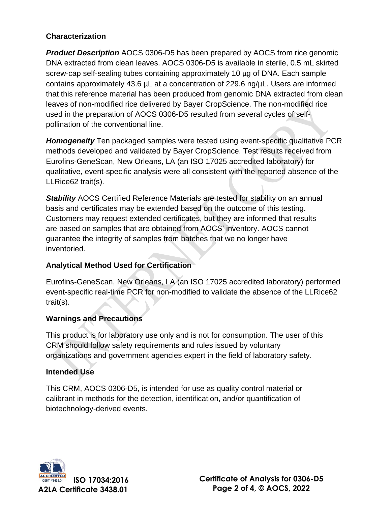# **Characterization**

*Product Description* AOCS 0306-D5 has been prepared by AOCS from rice genomic DNA extracted from clean leaves. AOCS 0306-D5 is available in sterile, 0.5 mL skirted screw-cap self-sealing tubes containing approximately 10 μg of DNA. Each sample contains approximately 43.6 µL at a concentration of 229.6 ng/µL. Users are informed that this reference material has been produced from genomic DNA extracted from clean leaves of non-modified rice delivered by Bayer CropScience. The non-modified rice used in the preparation of AOCS 0306-D5 resulted from several cycles of selfpollination of the conventional line.

*Homogeneity* Ten packaged samples were tested using event-specific qualitative PCR methods developed and validated by Bayer CropScience. Test results received from Eurofins-GeneScan, New Orleans, LA (an ISO 17025 accredited laboratory) for qualitative, event-specific analysis were all consistent with the reported absence of the LLRice62 trait(s).

**Stability** AOCS Certified Reference Materials are tested for stability on an annual basis and certificates may be extended based on the outcome of this testing. Customers may request extended certificates, but they are informed that results are based on samples that are obtained from AOCS' inventory. AOCS cannot guarantee the integrity of samples from batches that we no longer have inventoried.

### **Analytical Method Used for Certification**

Eurofins-GeneScan, New Orleans, LA (an ISO 17025 accredited laboratory) performed event-specific real-time PCR for non-modified to validate the absence of the LLRice62 trait(s).

### **Warnings and Precautions**

This product is for laboratory use only and is not for consumption. The user of this CRM should follow safety requirements and rules issued by voluntary organizations and government agencies expert in the field of laboratory safety.

### **Intended Use**

This CRM, AOCS 0306-D5, is intended for use as quality control material or calibrant in methods for the detection, identification, and/or quantification of biotechnology-derived events.



**Certificate of Analysis for 0306-D5 Page 2 of 4, © AOCS, 2022**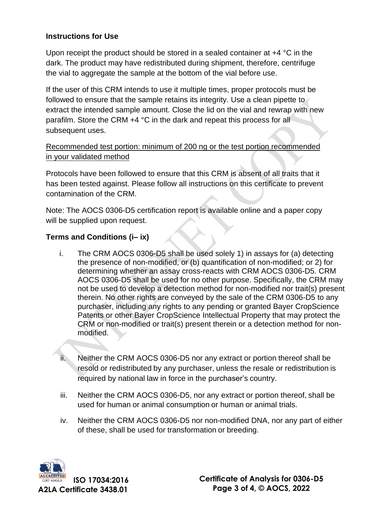#### **Instructions for Use**

Upon receipt the product should be stored in a sealed container at +4 °C in the dark. The product may have redistributed during shipment, therefore, centrifuge the vial to aggregate the sample at the bottom of the vial before use.

If the user of this CRM intends to use it multiple times, proper protocols must be followed to ensure that the sample retains its integrity. Use a clean pipette to extract the intended sample amount. Close the lid on the vial and rewrap with new parafilm. Store the CRM +4 °C in the dark and repeat this process for all subsequent uses.

## Recommended test portion: minimum of 200 ng or the test portion recommended in your validated method

Protocols have been followed to ensure that this CRM is absent of all traits that it has been tested against. Please follow all instructions on this certificate to prevent contamination of the CRM.

Note: The AOCS 0306-D5 certification report is available online and a paper copy will be supplied upon request.

#### **Terms and Conditions (i– ix)**

- i. The CRM AOCS 0306-D5 shall be used solely 1) in assays for (a) detecting the presence of non-modified, or (b) quantification of non-modified; or 2) for determining whether an assay cross-reacts with CRM AOCS 0306-D5. CRM AOCS 0306-D5 shall be used for no other purpose. Specifically, the CRM may not be used to develop a detection method for non-modified nor trait(s) present therein. No other rights are conveyed by the sale of the CRM 0306-D5 to any purchaser, including any rights to any pending or granted Bayer CropScience Patents or other Bayer CropScience Intellectual Property that may protect the CRM or non-modified or trait(s) present therein or a detection method for nonmodified.
- ii. Neither the CRM AOCS 0306-D5 nor any extract or portion thereof shall be resold or redistributed by any purchaser, unless the resale or redistribution is required by national law in force in the purchaser's country.
- iii. Neither the CRM AOCS 0306-D5, nor any extract or portion thereof, shall be used for human or animal consumption or human or animal trials.
- iv. Neither the CRM AOCS 0306-D5 nor non-modified DNA, nor any part of either of these, shall be used for transformation or breeding.